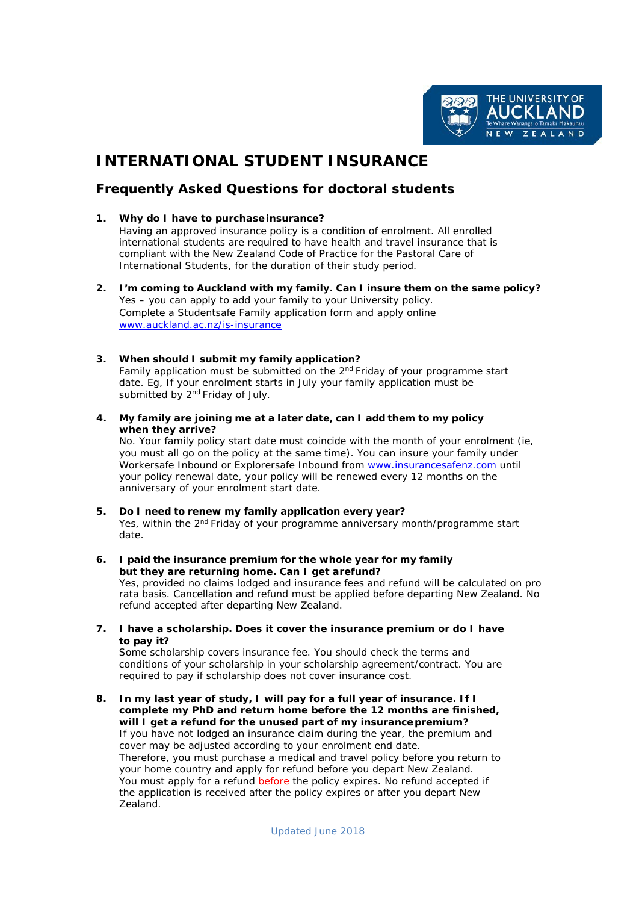

# **INTERNATIONAL STUDENT INSURANCE**

# **Frequently Asked Questions for doctoral students**

# **1. Why do I have to purchaseinsurance?**

Having an approved insurance policy is a condition of enrolment. All enrolled international students are required to have health and travel insurance that is compliant with the New Zealand *Code of Practice for the Pastoral Care of International Students*, for the duration of their study period.

- **2. I'm coming to Auckland with my family. Can I insure them on the same policy?** Yes – you can apply to add your family to your University policy. Complete a Studentsafe Family application form and apply online [www.auckland.ac.nz/is-insurance](http://www.auckland.ac.nz/is-insurance)
- **3. When should I submit my family application?** Family application must be submitted on the  $2<sup>nd</sup>$  Friday of your programme start date. Eg, If your enrolment starts in July your family application must be submitted by 2<sup>nd</sup> Friday of July.
- **4. My family are joining me at a later date, can I add them to my policy when they arrive?**

No. Your family policy start date must coincide with the month of your enrolment (ie, you must all go on the policy at the same time). You can insure your family under Workersafe Inbound or Explorersafe Inbound from [www.insurancesafenz.com](http://www.insurancesafenz.com/) until your policy renewal date, your policy will be renewed every 12 months on the anniversary of your enrolment start date.

- **5. Do I need to renew my family application every year?** Yes, within the 2<sup>nd</sup> Friday of your programme anniversary month/programme start date.
- **6. I paid the insurance premium for the whole year for my family but they are returning home. Can I get arefund?** Yes, provided no claims lodged and insurance fees and refund will be calculated on pro rata basis. Cancellation and refund must be applied before departing New Zealand. No refund accepted after departing New Zealand.
- **7. I have a scholarship. Does it cover the insurance premium or do I have to pay it?**

Some scholarship covers insurance fee. You should check the terms and conditions of your scholarship in your scholarship agreement/contract. You are required to pay if scholarship does not cover insurance cost.

**8. In my last year of study, I will pay for a full year of insurance. If I complete my PhD and return home before the 12 months are finished, will I get a refund for the unused part of my insurancepremium?** If you have not lodged an insurance claim during the year, the premium and cover may be adjusted according to your enrolment end date. Therefore, you must purchase a medical and travel policy before you return to your home country and apply for refund before you depart New Zealand. You must apply for a refund **before** the policy expires. No refund accepted if the application is received after the policy expires or after you depart New Zealand.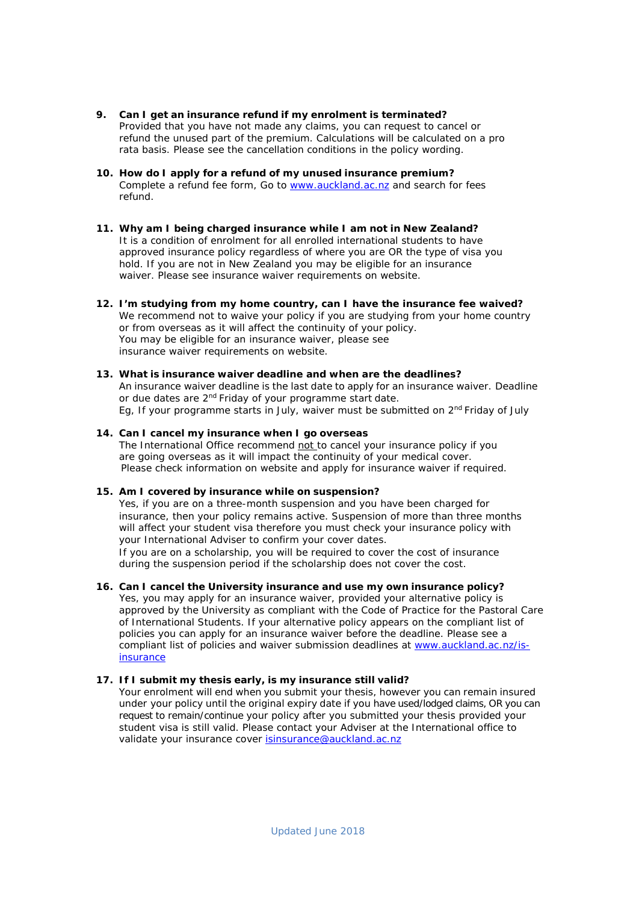- **9. Can I get an insurance refund if my enrolment is terminated?** Provided that you have not made any claims, you can request to cancel or refund the unused part of the premium. Calculations will be calculated on a pro rata basis. Please see the cancellation conditions in the policy wording.
- **10. How do I apply for a refund of my unused insurance premium?** Complete a refund fee form, Go to [www.auckland.ac.nz](http://www.auckland.ac.nz/) and search for fees refund.
- **11. Why am I being charged insurance while I am not in New Zealand?** It is a condition of enrolment for all enrolled international students to have approved insurance policy regardless of where you are OR the type of visa you hold. If you are not in New Zealand you may be eligible for an insurance waiver. Please see insurance waiver requirements on website.
- **12. I'm studying from my home country, can I have the insurance fee waived?**  We recommend not to waive your policy if you are studying from your home country or from overseas as it will affect the continuity of your policy. You may be eligible for an insurance waiver, please see insurance waiver requirements on website.
- **13. What is insurance waiver deadline and when are the deadlines?** An insurance waiver deadline is the last date to apply for an insurance waiver. Deadline or due dates are 2<sup>nd</sup> Friday of your programme start date. Eg, If your programme starts in July, waiver must be submitted on 2<sup>nd</sup> Friday of July

#### **14. Can I cancel my insurance when I go overseas** The International Office recommend not to cancel your insurance policy if you are going overseas as it will impact the continuity of your medical cover. Please check information on website and apply for insurance waiver if required.

# **15. Am I covered by insurance while on suspension?**

Yes, if you are on a three-month suspension and you have been charged for insurance, then your policy remains active. Suspension of more than three months will affect your student visa therefore you must check your insurance policy with your International Adviser to confirm your cover dates. If you are on a scholarship, you will be required to cover the cost of insurance during the suspension period if the scholarship does not cover the cost.

**16. Can I cancel the University insurance and use my own insurance policy?** Yes, you may apply for an insurance waiver, provided your alternative policy is approved by the University as compliant with the *Code of Practice for the Pastoral Care of International Students*. If your alternative policy appears on the compliant list of policies you can apply for an insurance waiver before the deadline. Please see a compliant list of policies and waiver submission deadlines at [www.auckland.ac.nz/is](http://www.auckland.ac.nz/is-insurance)[insurance](http://www.auckland.ac.nz/is-insurance)

## **17. If I submit my thesis early, is my insurance still valid?**

Your enrolment will end when you submit your thesis, however you can remain insured under your policy until the original expiry date if you have used/lodged claims, OR you can request to remain/continue your policy after you submitted your thesis provided your student visa is still valid. Please contact your Adviser at the International office to validate your insurance cover [isinsurance@auckland.ac.nz](mailto:isinsurance@auckland.ac.nz)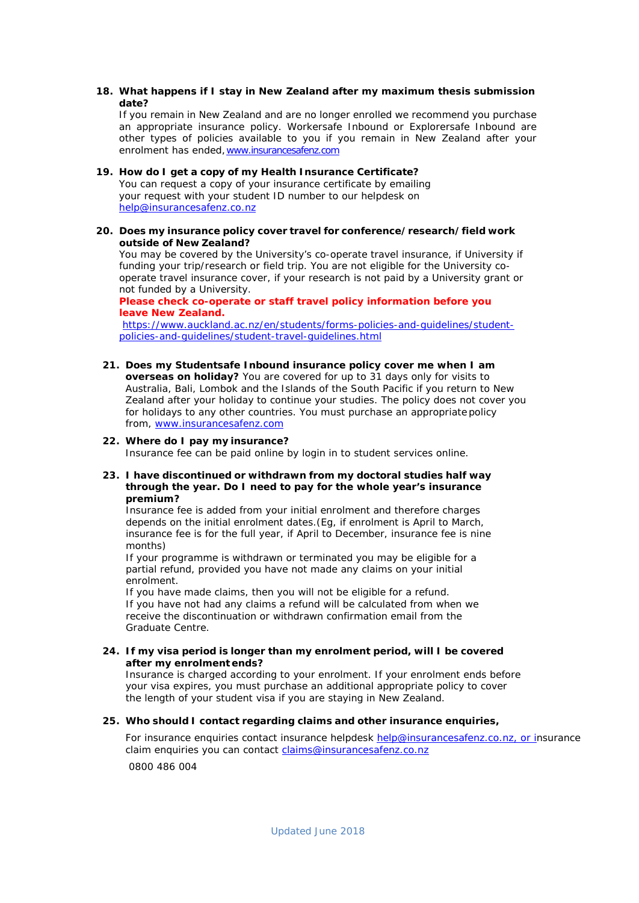**18. What happens if I stay in New Zealand after my maximum thesis submission date?**

If you remain in New Zealand and are no longer enrolled we recommend you purchase an appropriate insurance policy. Workersafe Inbound or Explorersafe Inbound are other types of policies available to you if you remain in New Zealand after your enrolment has ended[,www.insurancesafenz.com](http://www.insurancesafenz.com/)

# **19. How do I get a copy of my Health Insurance Certificate?** You can request a copy of your insurance certificate by emailing your request with your student ID number to our helpdesk on [help@insurancesafenz.co.nz](mailto:help@insurancesafenz.co.nz)

**20. Does my insurance policy cover travel for conference/research/field work outside of New Zealand?**

You may be covered by the University's co-operate travel insurance, if University if funding your trip/research or field trip. You are not eligible for the University cooperate travel insurance cover, if your research is not paid by a University grant or not funded by a University.

**Please check co-operate or staff travel policy information before you leave New Zealand.**

[https://www.auckland.ac.nz/en/students/forms-policies-and-guidelines/student](https://www.auckland.ac.nz/en/students/forms-policies-and-guidelines/student-policies-and-guidelines/student-travel-guidelines.html)[policies-and-guidelines/student-travel-guidelines.html](https://www.auckland.ac.nz/en/students/forms-policies-and-guidelines/student-policies-and-guidelines/student-travel-guidelines.html)

**21. Does my Studentsafe Inbound insurance policy cover me when I am overseas on holiday?** You are covered for up to 31 days only for visits to Australia, Bali, Lombok and the Islands of the South Pacific if you return to New Zealand after your holiday to continue your studies. The policy does not cover you for holidays to any other countries. You must purchase an appropriate policy from, [www.insurancesafenz.com](http://www.insurancesafenz.com/)

## **22. Where do I pay my insurance?**

Insurance fee can be paid online by login in to student services online.

**23. I have discontinued or withdrawn from my doctoral studies half way through the year. Do I need to pay for the whole year's insurance premium?**

Insurance fee is added from your initial enrolment and therefore charges depends on the initial enrolment dates.(Eg, if enrolment is April to March, insurance fee is for the full year, if April to December, insurance fee is nine months)

If your programme is withdrawn or terminated you may be eligible for a partial refund, provided you have not made any claims on your initial enrolment.

If you have made claims, then you will not be eligible for a refund. If you have not had any claims a refund will be calculated from when we receive the discontinuation or withdrawn confirmation email from the Graduate Centre.

**24. If my visa period is longer than my enrolment period, will I be covered after my enrolment ends?**

Insurance is charged according to your enrolment. If your enrolment ends before your visa expires, you must purchase an additional appropriate policy to cover the length of your student visa if you are staying in New Zealand.

# **25. Who should I contact regarding claims and other insurance enquiries,**

For insurance enquiries contact insurance helpdesk [help@insurancesafenz.co.nz,](mailto:help@insurancesafenz.co.nz) or insurance claim enquiries you can contact [claims@insurancesafenz.co.nz](mailto:claims@insurancesafenz.co.nz) 0800 486 004